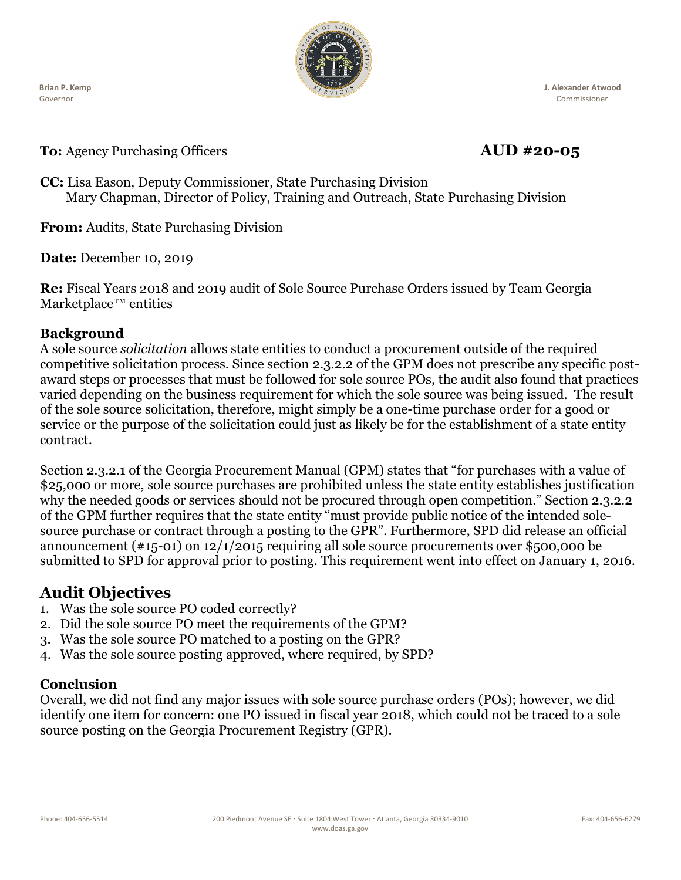Governor **Brian P. Kemp**



**J. Alexander Atwood** Commissioner

**To:** Agency Purchasing Officers **AUD #20-05** 

**CC:** Lisa Eason, Deputy Commissioner, State Purchasing Division Mary Chapman, Director of Policy, Training and Outreach, State Purchasing Division

**From:** Audits, State Purchasing Division

**Date:** December 10, 2019

**Re:** Fiscal Years 2018 and 2019 audit of Sole Source Purchase Orders issued by Team Georgia Marketplace™ entities

#### **Background**

A sole source *solicitation* allows state entities to conduct a procurement outside of the required competitive solicitation process. Since section 2.3.2.2 of the GPM does not prescribe any specific postaward steps or processes that must be followed for sole source POs, the audit also found that practices varied depending on the business requirement for which the sole source was being issued. The result of the sole source solicitation, therefore, might simply be a one-time purchase order for a good or service or the purpose of the solicitation could just as likely be for the establishment of a state entity contract.

Section 2.3.2.1 of the Georgia Procurement Manual (GPM) states that "for purchases with a value of \$25,000 or more, sole source purchases are prohibited unless the state entity establishes justification why the needed goods or services should not be procured through open competition." Section 2.3.2.2 of the GPM further requires that the state entity "must provide public notice of the intended solesource purchase or contract through a posting to the GPR". Furthermore, SPD did release an official announcement (#15-01) on 12/1/2015 requiring all sole source procurements over \$500,000 be submitted to SPD for approval prior to posting. This requirement went into effect on January 1, 2016.

# **Audit Objectives**

- 1. Was the sole source PO coded correctly?
- 2. Did the sole source PO meet the requirements of the GPM?
- 3. Was the sole source PO matched to a posting on the GPR?
- 4. Was the sole source posting approved, where required, by SPD?

## **Conclusion**

Overall, we did not find any major issues with sole source purchase orders (POs); however, we did identify one item for concern: one PO issued in fiscal year 2018, which could not be traced to a sole source posting on the Georgia Procurement Registry (GPR).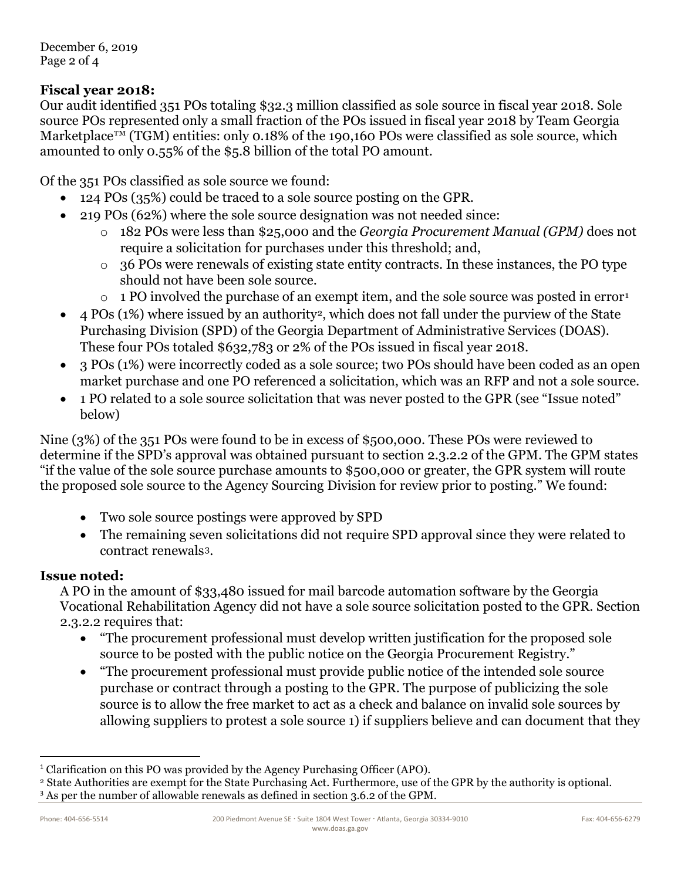December 6, 2019 Page 2 of 4

## **Fiscal year 2018:**

Our audit identified 351 POs totaling \$32.3 million classified as sole source in fiscal year 2018. Sole source POs represented only a small fraction of the POs issued in fiscal year 2018 by Team Georgia Marketplace<sup>™</sup> (TGM) entities: only 0.18% of the 190,160 POs were classified as sole source, which amounted to only 0.55% of the \$5.8 billion of the total PO amount.

Of the 351 POs classified as sole source we found:

- 124 POs (35%) could be traced to a sole source posting on the GPR.
- 219 POs (62%) where the sole source designation was not needed since:
	- o 182 POs were less than \$25,000 and the *Georgia Procurement Manual (GPM)* does not require a solicitation for purchases under this threshold; and,
	- o 36 POs were renewals of existing state entity contracts. In these instances, the PO type should not have been sole source.
	- $\circ$  [1](#page-1-0) PO involved the purchase of an exempt item, and the sole source was posted in error<sup>1</sup>
- 4 POs (1%) where issued by an authority[2](#page-1-1), which does not fall under the purview of the State Purchasing Division (SPD) of the Georgia Department of Administrative Services (DOAS). These four POs totaled \$632,783 or 2% of the POs issued in fiscal year 2018.
- 3 POs (1%) were incorrectly coded as a sole source; two POs should have been coded as an open market purchase and one PO referenced a solicitation, which was an RFP and not a sole source.
- 1 PO related to a sole source solicitation that was never posted to the GPR (see "Issue noted" below)

Nine (3%) of the 351 POs were found to be in excess of \$500,000. These POs were reviewed to determine if the SPD's approval was obtained pursuant to section 2.3.2.2 of the GPM. The GPM states "if the value of the sole source purchase amounts to \$500,000 or greater, the GPR system will route the proposed sole source to the Agency Sourcing Division for review prior to posting." We found:

- Two sole source postings were approved by SPD
- The remaining seven solicitations did not require SPD approval since they were related to contract renewals[3.](#page-1-2)

## **Issue noted:**

A PO in the amount of \$33,480 issued for mail barcode automation software by the Georgia Vocational Rehabilitation Agency did not have a sole source solicitation posted to the GPR. Section 2.3.2.2 requires that:

- "The procurement professional must develop written justification for the proposed sole source to be posted with the public notice on the Georgia Procurement Registry."
- "The procurement professional must provide public notice of the intended sole source purchase or contract through a posting to the GPR. The purpose of publicizing the sole source is to allow the free market to act as a check and balance on invalid sole sources by allowing suppliers to protest a sole source 1) if suppliers believe and can document that they

<span id="page-1-0"></span><sup>&</sup>lt;sup>1</sup> Clarification on this PO was provided by the Agency Purchasing Officer (APO).

<span id="page-1-1"></span><sup>2</sup> State Authorities are exempt for the State Purchasing Act. Furthermore, use of the GPR by the authority is optional. <sup>3</sup> As per the number of allowable renewals as defined in section 3.6.2 of the GPM.

<span id="page-1-2"></span>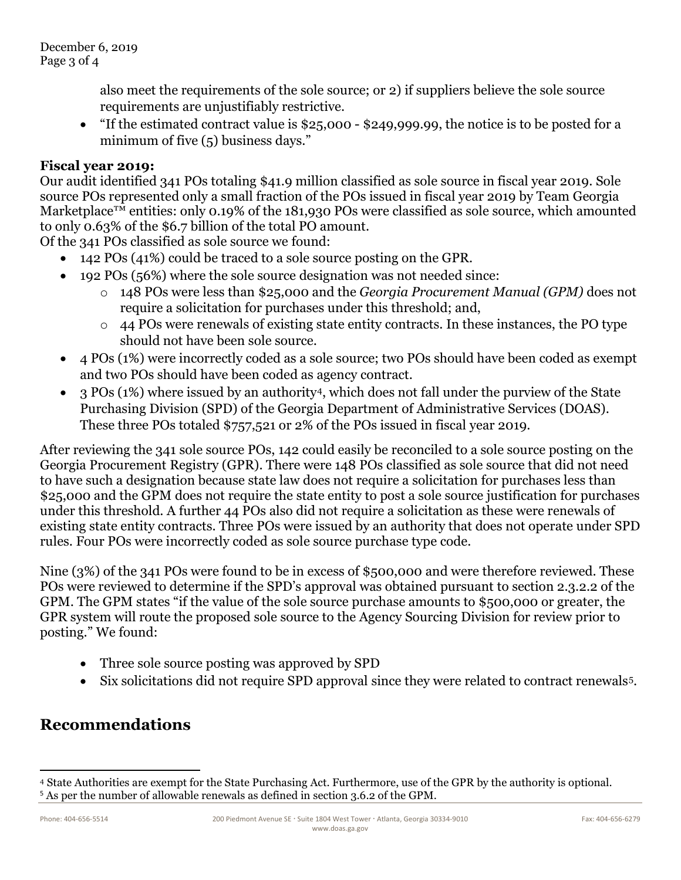also meet the requirements of the sole source; or 2) if suppliers believe the sole source requirements are unjustifiably restrictive.

• "If the estimated contract value is \$25,000 - \$249,999.99, the notice is to be posted for a minimum of five (5) business days."

#### **Fiscal year 2019:**

Our audit identified 341 POs totaling \$41.9 million classified as sole source in fiscal year 2019. Sole source POs represented only a small fraction of the POs issued in fiscal year 2019 by Team Georgia Marketplace<sup>TM</sup> entities: only 0.19% of the 181,930 POs were classified as sole source, which amounted to only 0.63% of the \$6.7 billion of the total PO amount.

Of the 341 POs classified as sole source we found:

- 142 POs (41%) could be traced to a sole source posting on the GPR.
- 192 POs (56%) where the sole source designation was not needed since:
	- o 148 POs were less than \$25,000 and the *Georgia Procurement Manual (GPM)* does not require a solicitation for purchases under this threshold; and,
	- o 44 POs were renewals of existing state entity contracts. In these instances, the PO type should not have been sole source.
- 4 POs (1%) were incorrectly coded as a sole source; two POs should have been coded as exempt and two POs should have been coded as agency contract.
- 3 POs (1%) where issued by an authority[4,](#page-2-0) which does not fall under the purview of the State Purchasing Division (SPD) of the Georgia Department of Administrative Services (DOAS). These three POs totaled \$757,521 or 2% of the POs issued in fiscal year 2019.

After reviewing the 341 sole source POs, 142 could easily be reconciled to a sole source posting on the Georgia Procurement Registry (GPR). There were 148 POs classified as sole source that did not need to have such a designation because state law does not require a solicitation for purchases less than \$25,000 and the GPM does not require the state entity to post a sole source justification for purchases under this threshold. A further 44 POs also did not require a solicitation as these were renewals of existing state entity contracts. Three POs were issued by an authority that does not operate under SPD rules. Four POs were incorrectly coded as sole source purchase type code.

Nine (3%) of the 341 POs were found to be in excess of \$500,000 and were therefore reviewed. These POs were reviewed to determine if the SPD's approval was obtained pursuant to section 2.3.2.2 of the GPM. The GPM states "if the value of the sole source purchase amounts to \$500,000 or greater, the GPR system will route the proposed sole source to the Agency Sourcing Division for review prior to posting." We found:

- Three sole source posting was approved by SPD
- Six solicitations did not require SPD approval since they were related to contract renewals[5.](#page-2-1)

# **Recommendations**

 $\overline{a}$ 

<span id="page-2-1"></span><span id="page-2-0"></span><sup>4</sup> State Authorities are exempt for the State Purchasing Act. Furthermore, use of the GPR by the authority is optional. <sup>5</sup> As per the number of allowable renewals as defined in section 3.6.2 of the GPM.